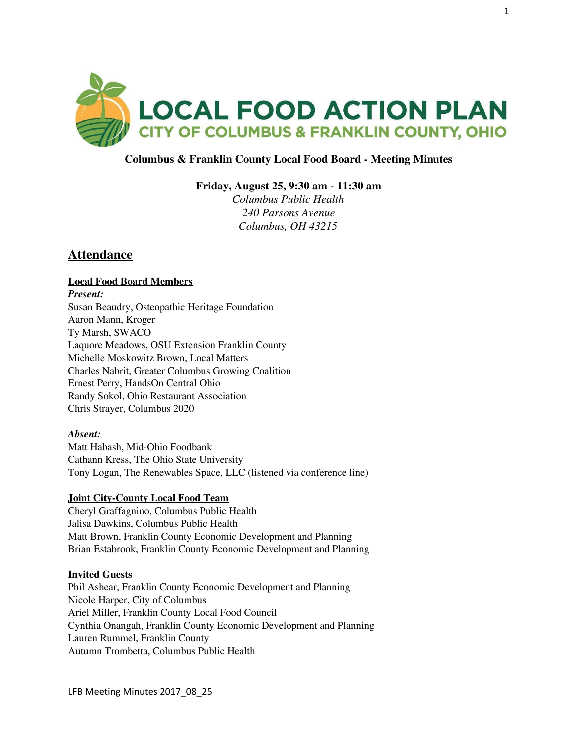

## **Columbus & Franklin County Local Food Board - Meeting Minutes**

**Friday, August 25, 9:30 am - 11:30 am**

*Columbus Public Health 240 Parsons Avenue Columbus, OH 43215*

# **Attendance**

## **Local Food Board Members**

*Present:* Susan Beaudry, Osteopathic Heritage Foundation Aaron Mann, Kroger Ty Marsh, SWACO Laquore Meadows, OSU Extension Franklin County Michelle Moskowitz Brown, Local Matters Charles Nabrit, Greater Columbus Growing Coalition Ernest Perry, HandsOn Central Ohio Randy Sokol, Ohio Restaurant Association Chris Strayer, Columbus 2020

#### *Absent:*

Matt Habash, Mid-Ohio Foodbank Cathann Kress, The Ohio State University Tony Logan, The Renewables Space, LLC (listened via conference line)

#### **Joint City-County Local Food Team**

Cheryl Graffagnino, Columbus Public Health Jalisa Dawkins, Columbus Public Health Matt Brown, Franklin County Economic Development and Planning Brian Estabrook, Franklin County Economic Development and Planning

#### **Invited Guests**

Phil Ashear, Franklin County Economic Development and Planning Nicole Harper, City of Columbus Ariel Miller, Franklin County Local Food Council Cynthia Onangah, Franklin County Economic Development and Planning Lauren Rummel, Franklin County Autumn Trombetta, Columbus Public Health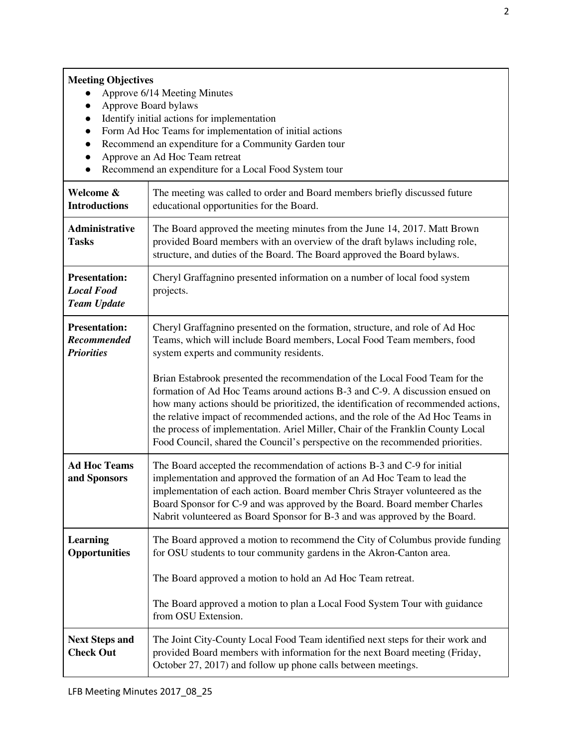# **Meeting Objectives**

- Approve 6/14 Meeting Minutes
- Approve Board bylaws
- Identify initial actions for implementation
- Form Ad Hoc Teams for implementation of initial actions
- Recommend an expenditure for a Community Garden tour
- Approve an Ad Hoc Team retreat
- Recommend an expenditure for a Local Food System tour

| Welcome &<br><b>Introductions</b>                               | The meeting was called to order and Board members briefly discussed future<br>educational opportunities for the Board.                                                                                                                                                                                                                                                                                                                                                                                   |
|-----------------------------------------------------------------|----------------------------------------------------------------------------------------------------------------------------------------------------------------------------------------------------------------------------------------------------------------------------------------------------------------------------------------------------------------------------------------------------------------------------------------------------------------------------------------------------------|
| Administrative<br><b>Tasks</b>                                  | The Board approved the meeting minutes from the June 14, 2017. Matt Brown<br>provided Board members with an overview of the draft bylaws including role,<br>structure, and duties of the Board. The Board approved the Board bylaws.                                                                                                                                                                                                                                                                     |
| <b>Presentation:</b><br><b>Local Food</b><br><b>Team Update</b> | Cheryl Graffagnino presented information on a number of local food system<br>projects.                                                                                                                                                                                                                                                                                                                                                                                                                   |
| <b>Presentation:</b><br><b>Recommended</b><br><b>Priorities</b> | Cheryl Graffagnino presented on the formation, structure, and role of Ad Hoc<br>Teams, which will include Board members, Local Food Team members, food<br>system experts and community residents.                                                                                                                                                                                                                                                                                                        |
|                                                                 | Brian Estabrook presented the recommendation of the Local Food Team for the<br>formation of Ad Hoc Teams around actions B-3 and C-9. A discussion ensued on<br>how many actions should be prioritized, the identification of recommended actions,<br>the relative impact of recommended actions, and the role of the Ad Hoc Teams in<br>the process of implementation. Ariel Miller, Chair of the Franklin County Local<br>Food Council, shared the Council's perspective on the recommended priorities. |
| <b>Ad Hoc Teams</b><br>and Sponsors                             | The Board accepted the recommendation of actions B-3 and C-9 for initial<br>implementation and approved the formation of an Ad Hoc Team to lead the<br>implementation of each action. Board member Chris Strayer volunteered as the<br>Board Sponsor for C-9 and was approved by the Board. Board member Charles<br>Nabrit volunteered as Board Sponsor for B-3 and was approved by the Board.                                                                                                           |
| Learning<br><b>Opportunities</b>                                | The Board approved a motion to recommend the City of Columbus provide funding<br>for OSU students to tour community gardens in the Akron-Canton area.<br>The Board approved a motion to hold an Ad Hoc Team retreat.                                                                                                                                                                                                                                                                                     |
|                                                                 | The Board approved a motion to plan a Local Food System Tour with guidance<br>from OSU Extension.                                                                                                                                                                                                                                                                                                                                                                                                        |
| <b>Next Steps and</b><br><b>Check Out</b>                       | The Joint City-County Local Food Team identified next steps for their work and<br>provided Board members with information for the next Board meeting (Friday,<br>October 27, 2017) and follow up phone calls between meetings.                                                                                                                                                                                                                                                                           |